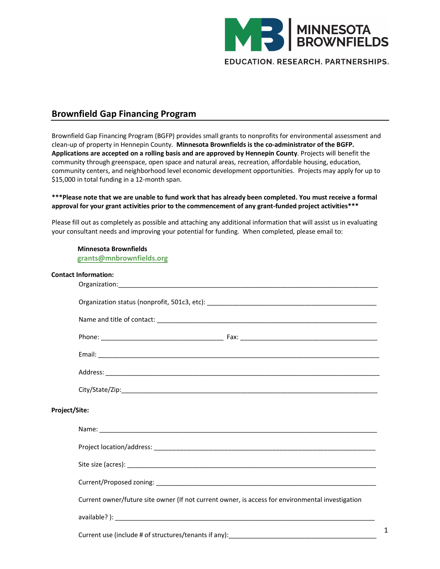

## **Brownfield Gap Financing Program**

Brownfield Gap Financing Program (BGFP) provides small grants to nonprofits for environmental assessment and clean-up of property in Hennepin County. **Minnesota Brownfields is the co-administrator of the BGFP. Applications are accepted on a rolling basis and are approved by Hennepin County**. Projects will benefit the community through greenspace, open space and natural areas, recreation, affordable housing, education, community centers, and neighborhood level economic development opportunities. Projects may apply for up to \$15,000 in total funding in a 12-month span.

## \*\*\*Please note that we are unable to fund work that has already been completed. You must receive a formal **approval for your grant activities prior to the commencement of any grant-funded project activities\*\*\***

Please fill out as completely as possible and attaching any additional information that will assist us in evaluating your consultant needs and improving your potential for funding. When completed, please email to:

|               | <b>Minnesota Brownfields</b><br>grants@mnbrownfields.org                                         |  |
|---------------|--------------------------------------------------------------------------------------------------|--|
|               | <b>Contact Information:</b>                                                                      |  |
|               |                                                                                                  |  |
|               |                                                                                                  |  |
|               |                                                                                                  |  |
|               |                                                                                                  |  |
|               |                                                                                                  |  |
|               |                                                                                                  |  |
|               |                                                                                                  |  |
| Project/Site: |                                                                                                  |  |
|               |                                                                                                  |  |
|               |                                                                                                  |  |
|               |                                                                                                  |  |
|               |                                                                                                  |  |
|               | Current owner/future site owner (If not current owner, is access for environmental investigation |  |
|               |                                                                                                  |  |
|               |                                                                                                  |  |